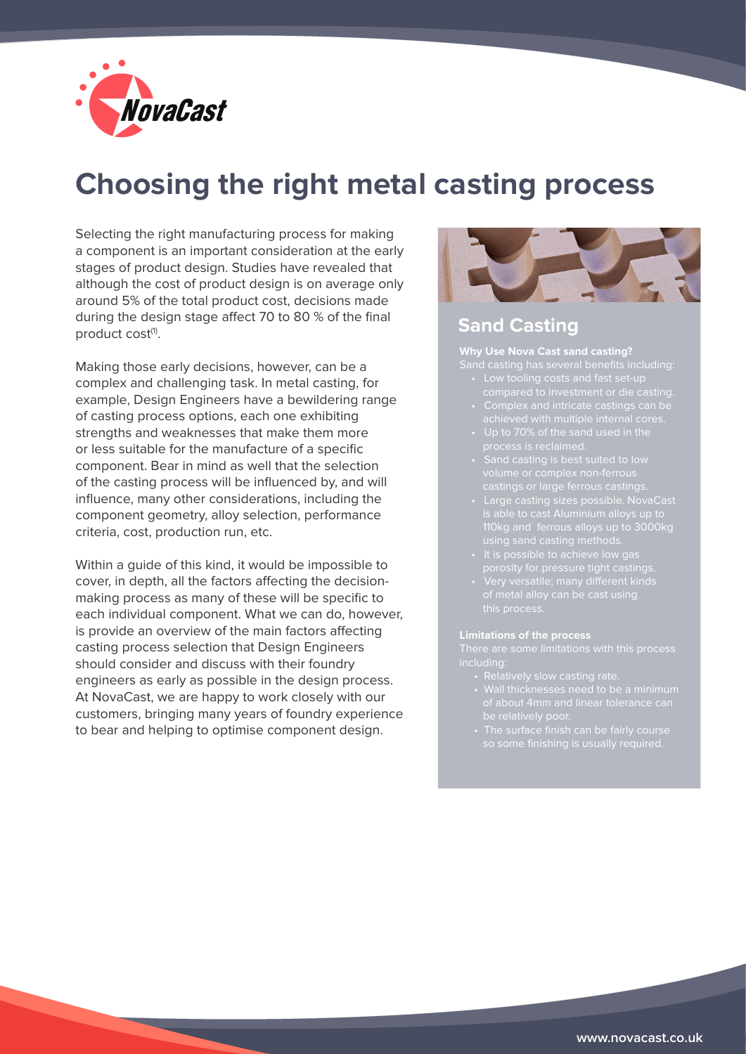

# **Choosing the right metal casting process**

Selecting the right manufacturing process for making a component is an important consideration at the early stages of product design. Studies have revealed that although the cost of product design is on average only around 5% of the total product cost, decisions made during the design stage affect 70 to 80 % of the final product cost<sup>(1)</sup>.

Making those early decisions, however, can be a complex and challenging task. In metal casting, for example, Design Engineers have a bewildering range of casting process options, each one exhibiting strengths and weaknesses that make them more or less suitable for the manufacture of a specific component. Bear in mind as well that the selection of the casting process will be influenced by, and will influence, many other considerations, including the component geometry, alloy selection, performance criteria, cost, production run, etc.

Within a guide of this kind, it would be impossible to cover, in depth, all the factors affecting the decisionmaking process as many of these will be specific to each individual component. What we can do, however, is provide an overview of the main factors affecting casting process selection that Design Engineers should consider and discuss with their foundry engineers as early as possible in the design process. At NovaCast, we are happy to work closely with our customers, bringing many years of foundry experience to bear and helping to optimise component design.



### **Sand Casting**

**Why Use Nova Cast sand casting?**

- 
- 
- 
- 
- 
- 110kg and ferrous alloys up to 3000kg
	-
	- this process.

- 
- 
-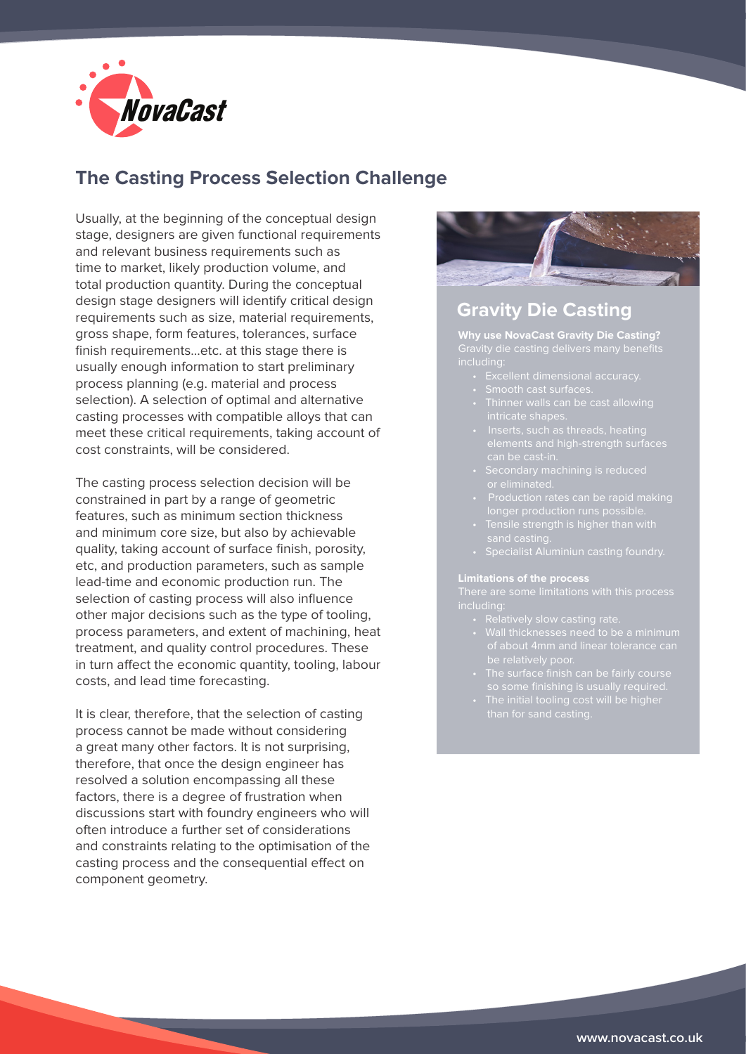

# **The Casting Process Selection Challenge**

Usually, at the beginning of the conceptual design stage, designers are given functional requirements and relevant business requirements such as time to market, likely production volume, and total production quantity. During the conceptual design stage designers will identify critical design requirements such as size, material requirements, gross shape, form features, tolerances, surface finish requirements…etc. at this stage there is usually enough information to start preliminary process planning (e.g. material and process selection). A selection of optimal and alternative casting processes with compatible alloys that can meet these critical requirements, taking account of cost constraints, will be considered.

The casting process selection decision will be constrained in part by a range of geometric features, such as minimum section thickness and minimum core size, but also by achievable quality, taking account of surface finish, porosity, etc, and production parameters, such as sample lead-time and economic production run. The selection of casting process will also influence other major decisions such as the type of tooling, process parameters, and extent of machining, heat treatment, and quality control procedures. These in turn affect the economic quantity, tooling, labour costs, and lead time forecasting.

It is clear, therefore, that the selection of casting process cannot be made without considering a great many other factors. It is not surprising, therefore, that once the design engineer has resolved a solution encompassing all these factors, there is a degree of frustration when discussions start with foundry engineers who will often introduce a further set of considerations and constraints relating to the optimisation of the casting process and the consequential effect on component geometry.



### **Gravity Die Casting**

**Why use NovaCast Gravity Die Casting?** including:

- 
- 
- 
- 
- 
- 
- 
- Specialist Aluminiun casting foundry.

- 
- 
- 
-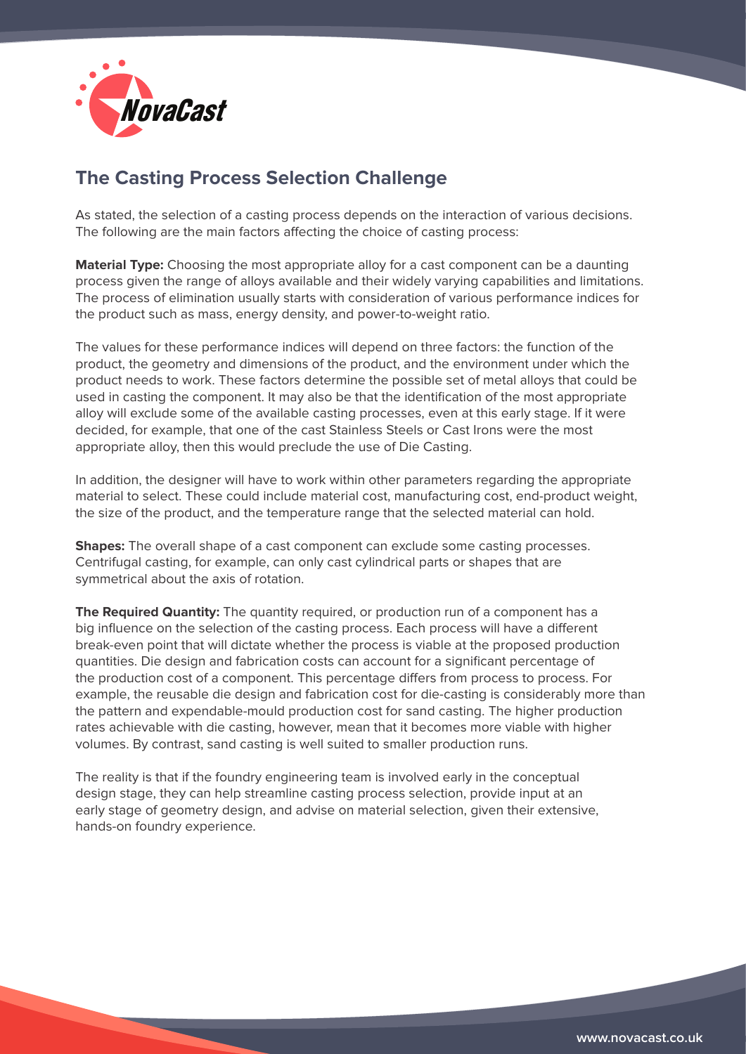

# **The Casting Process Selection Challenge**

As stated, the selection of a casting process depends on the interaction of various decisions. The following are the main factors affecting the choice of casting process:

**Material Type:** Choosing the most appropriate alloy for a cast component can be a daunting process given the range of alloys available and their widely varying capabilities and limitations. The process of elimination usually starts with consideration of various performance indices for the product such as mass, energy density, and power-to-weight ratio.

The values for these performance indices will depend on three factors: the function of the product, the geometry and dimensions of the product, and the environment under which the product needs to work. These factors determine the possible set of metal alloys that could be used in casting the component. It may also be that the identification of the most appropriate alloy will exclude some of the available casting processes, even at this early stage. If it were decided, for example, that one of the cast Stainless Steels or Cast Irons were the most appropriate alloy, then this would preclude the use of Die Casting.

In addition, the designer will have to work within other parameters regarding the appropriate material to select. These could include material cost, manufacturing cost, end-product weight, the size of the product, and the temperature range that the selected material can hold.

**Shapes:** The overall shape of a cast component can exclude some casting processes. Centrifugal casting, for example, can only cast cylindrical parts or shapes that are symmetrical about the axis of rotation.

**The Required Quantity:** The quantity required, or production run of a component has a big influence on the selection of the casting process. Each process will have a different break-even point that will dictate whether the process is viable at the proposed production quantities. Die design and fabrication costs can account for a significant percentage of the production cost of a component. This percentage differs from process to process. For example, the reusable die design and fabrication cost for die-casting is considerably more than the pattern and expendable-mould production cost for sand casting. The higher production rates achievable with die casting, however, mean that it becomes more viable with higher volumes. By contrast, sand casting is well suited to smaller production runs.

The reality is that if the foundry engineering team is involved early in the conceptual design stage, they can help streamline casting process selection, provide input at an early stage of geometry design, and advise on material selection, given their extensive, hands-on foundry experience.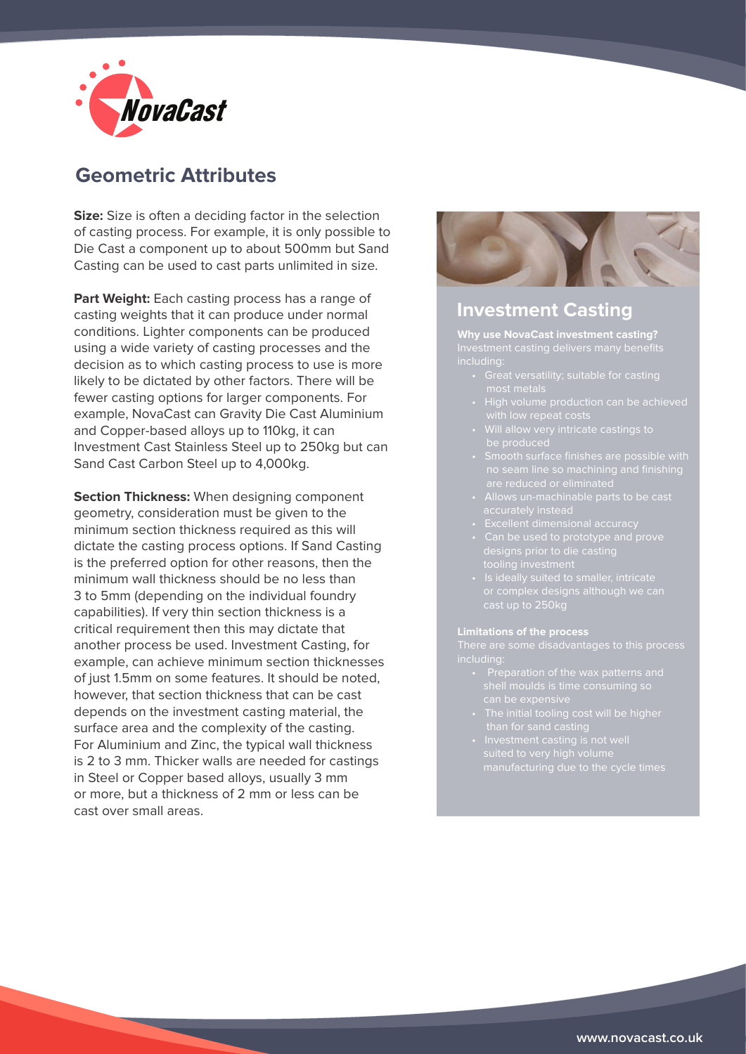

# **Geometric Attributes**

**Size:** Size is often a deciding factor in the selection of casting process. For example, it is only possible to Die Cast a component up to about 500mm but Sand Casting can be used to cast parts unlimited in size.

**Part Weight:** Each casting process has a range of casting weights that it can produce under normal conditions. Lighter components can be produced using a wide variety of casting processes and the decision as to which casting process to use is more likely to be dictated by other factors. There will be fewer casting options for larger components. For example, NovaCast can Gravity Die Cast Aluminium and Copper-based alloys up to 110kg, it can Investment Cast Stainless Steel up to 250kg but can Sand Cast Carbon Steel up to 4,000kg.

**Section Thickness:** When designing component geometry, consideration must be given to the minimum section thickness required as this will dictate the casting process options. If Sand Casting is the preferred option for other reasons, then the minimum wall thickness should be no less than 3 to 5mm (depending on the individual foundry capabilities). If very thin section thickness is a critical requirement then this may dictate that another process be used. Investment Casting, for example, can achieve minimum section thicknesses of just 1.5mm on some features. It should be noted, however, that section thickness that can be cast depends on the investment casting material, the surface area and the complexity of the casting. For Aluminium and Zinc, the typical wall thickness is 2 to 3 mm. Thicker walls are needed for castings in Steel or Copper based alloys, usually 3 mm or more, but a thickness of 2 mm or less can be cast over small areas.



### **Investment Casting**

**Why use NovaCast investment casting?**

- 
- 
- 
- 
- 
- 
- 
- cast up to 250kg

- can be expensive
- 
-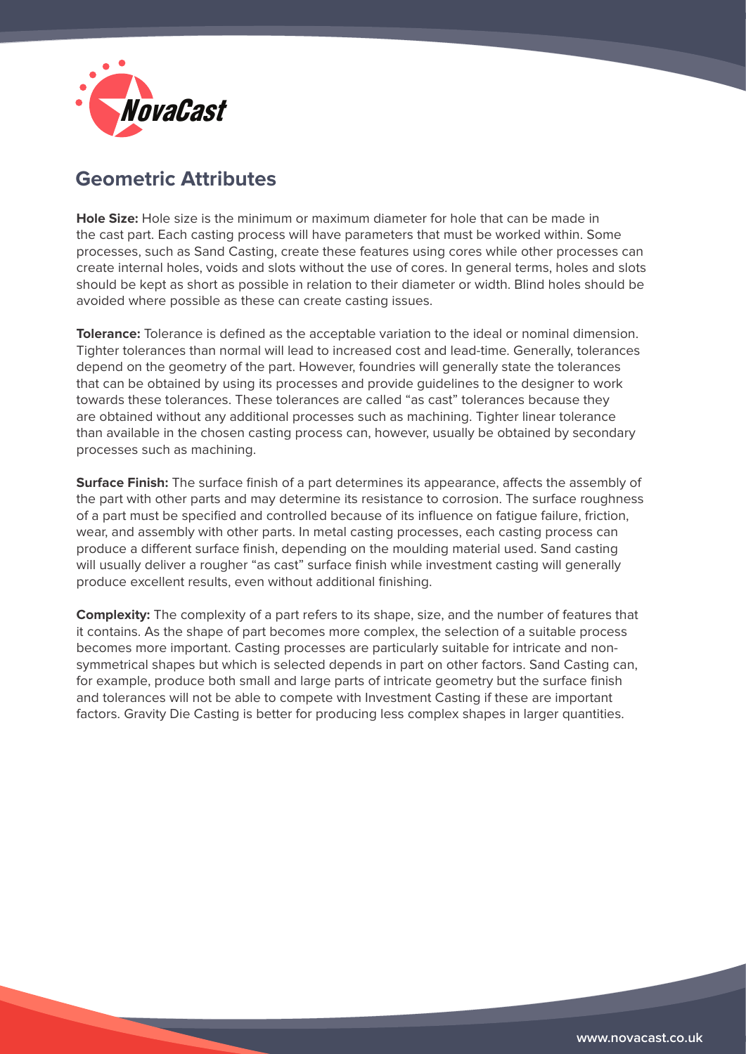

# **Geometric Attributes**

**Hole Size:** Hole size is the minimum or maximum diameter for hole that can be made in the cast part. Each casting process will have parameters that must be worked within. Some processes, such as Sand Casting, create these features using cores while other processes can create internal holes, voids and slots without the use of cores. In general terms, holes and slots should be kept as short as possible in relation to their diameter or width. Blind holes should be avoided where possible as these can create casting issues.

**Tolerance:** Tolerance is defined as the acceptable variation to the ideal or nominal dimension. Tighter tolerances than normal will lead to increased cost and lead-time. Generally, tolerances depend on the geometry of the part. However, foundries will generally state the tolerances that can be obtained by using its processes and provide guidelines to the designer to work towards these tolerances. These tolerances are called "as cast" tolerances because they are obtained without any additional processes such as machining. Tighter linear tolerance than available in the chosen casting process can, however, usually be obtained by secondary processes such as machining.

**Surface Finish:** The surface finish of a part determines its appearance, affects the assembly of the part with other parts and may determine its resistance to corrosion. The surface roughness of a part must be specified and controlled because of its influence on fatigue failure, friction, wear, and assembly with other parts. In metal casting processes, each casting process can produce a different surface finish, depending on the moulding material used. Sand casting will usually deliver a rougher "as cast" surface finish while investment casting will generally produce excellent results, even without additional finishing.

**Complexity:** The complexity of a part refers to its shape, size, and the number of features that it contains. As the shape of part becomes more complex, the selection of a suitable process becomes more important. Casting processes are particularly suitable for intricate and nonsymmetrical shapes but which is selected depends in part on other factors. Sand Casting can, for example, produce both small and large parts of intricate geometry but the surface finish and tolerances will not be able to compete with Investment Casting if these are important factors. Gravity Die Casting is better for producing less complex shapes in larger quantities.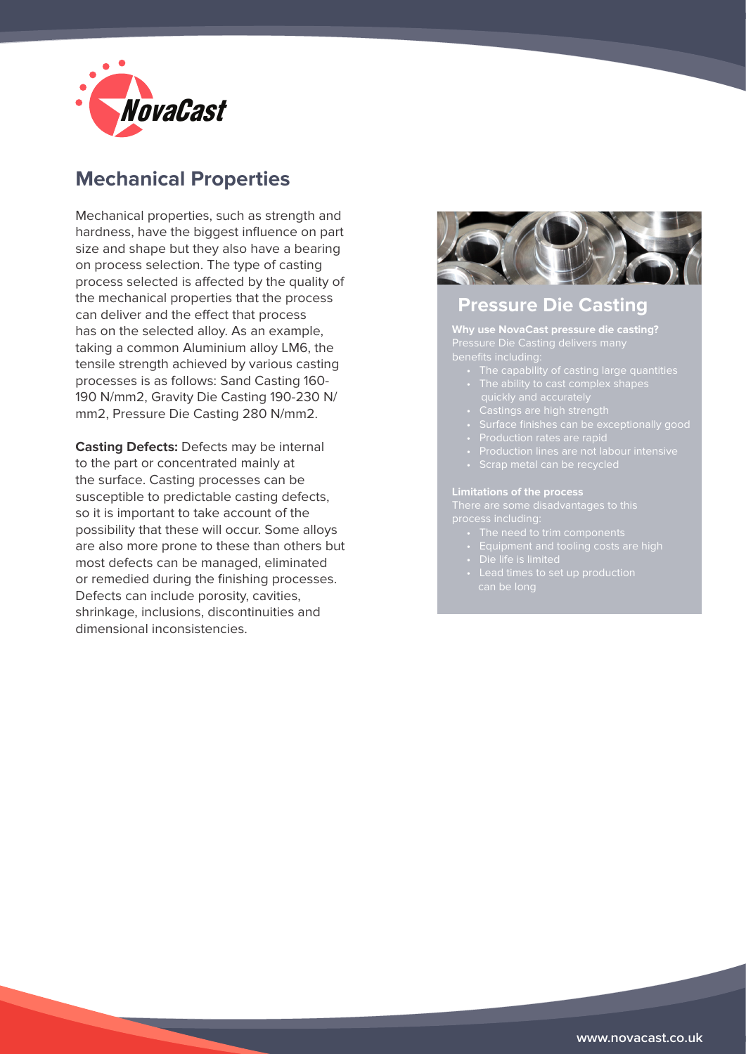

# **Mechanical Properties**

Mechanical properties, such as strength and hardness, have the biggest influence on part size and shape but they also have a bearing on process selection. The type of casting process selected is affected by the quality of the mechanical properties that the process can deliver and the effect that process has on the selected alloy. As an example, taking a common Aluminium alloy LM6, the tensile strength achieved by various casting processes is as follows: Sand Casting 160- 190 N/mm2, Gravity Die Casting 190-230 N/ mm2, Pressure Die Casting 280 N/mm2.

**Casting Defects:** Defects may be internal to the part or concentrated mainly at the surface. Casting processes can be susceptible to predictable casting defects, so it is important to take account of the possibility that these will occur. Some alloys are also more prone to these than others but most defects can be managed, eliminated or remedied during the finishing processes. Defects can include porosity, cavities, shrinkage, inclusions, discontinuities and dimensional inconsistencies.



### **Pressure Die Casting**

**Why use NovaCast pressure die casting?**

- The capability of casting large quantities
- 
- 
- 
- 
- 
- 

- 
- 
- 
-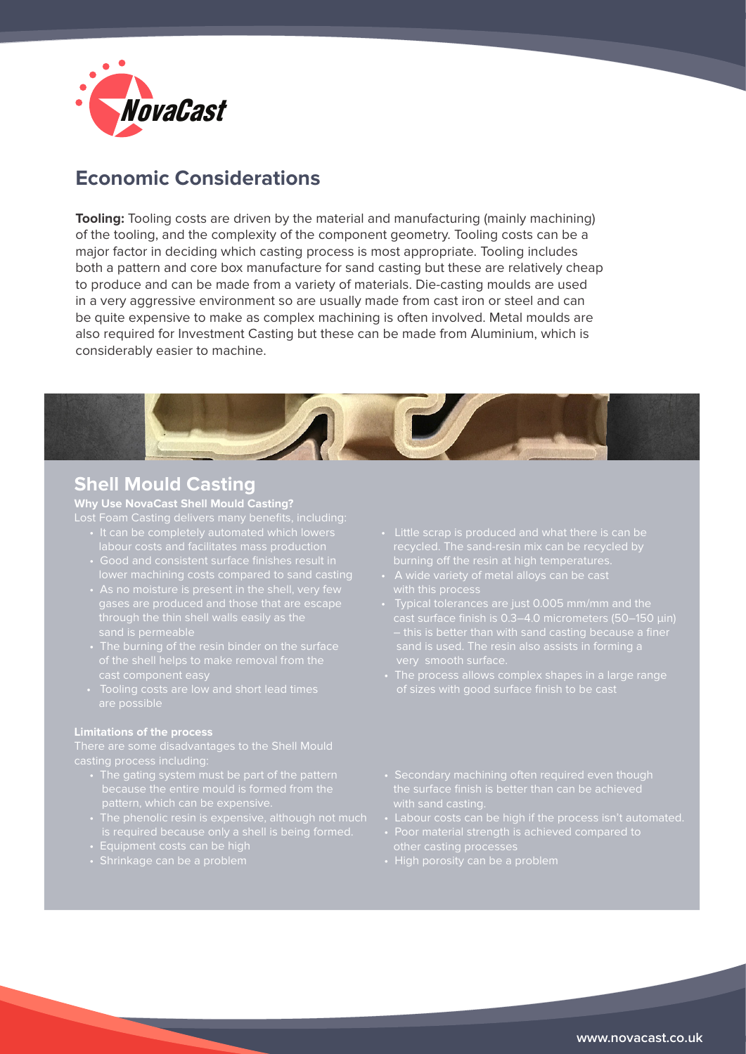

# **Economic Considerations**

**Tooling:** Tooling costs are driven by the material and manufacturing (mainly machining) of the tooling, and the complexity of the component geometry. Tooling costs can be a major factor in deciding which casting process is most appropriate. Tooling includes both a pattern and core box manufacture for sand casting but these are relatively cheap to produce and can be made from a variety of materials. Die-casting moulds are used in a very aggressive environment so are usually made from cast iron or steel and can be quite expensive to make as complex machining is often involved. Metal moulds are also required for Investment Casting but these can be made from Aluminium, which is considerably easier to machine.



### **Shell Mould Casting**

**Why Use NovaCast Shell Mould Casting?** 

- 
- lower machining costs compared to sand casting
	-
	-
	-

- 
- 
- 
- Shrinkage can be a problem
- 
- 
- Typical tolerances are just 0.005 mm/mm and the
- 
- 
- 
- Poor material strength is achieved compared to other casting processes
- High porosity can be a problem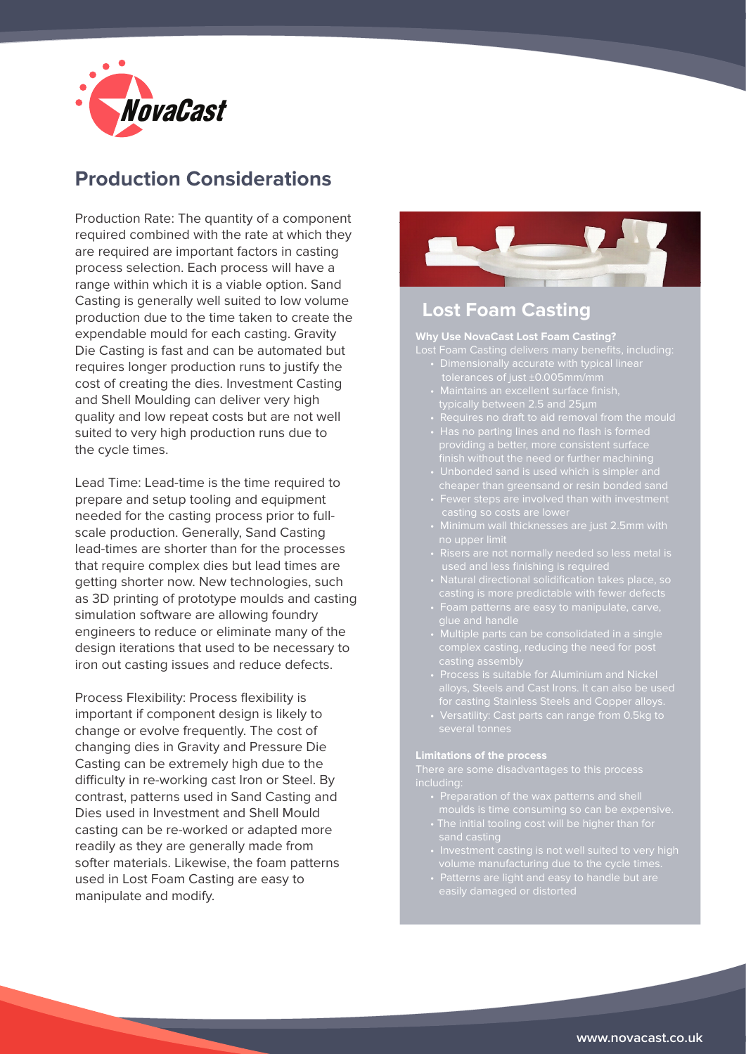

# **Production Considerations**

Production Rate: The quantity of a component required combined with the rate at which they are required are important factors in casting process selection. Each process will have a range within which it is a viable option. Sand Casting is generally well suited to low volume production due to the time taken to create the expendable mould for each casting. Gravity Die Casting is fast and can be automated but requires longer production runs to justify the cost of creating the dies. Investment Casting and Shell Moulding can deliver very high quality and low repeat costs but are not well suited to very high production runs due to the cycle times.

Lead Time: Lead-time is the time required to prepare and setup tooling and equipment needed for the casting process prior to fullscale production. Generally, Sand Casting lead-times are shorter than for the processes that require complex dies but lead times are getting shorter now. New technologies, such as 3D printing of prototype moulds and casting simulation software are allowing foundry engineers to reduce or eliminate many of the design iterations that used to be necessary to iron out casting issues and reduce defects.

Process Flexibility: Process flexibility is important if component design is likely to change or evolve frequently. The cost of changing dies in Gravity and Pressure Die Casting can be extremely high due to the difficulty in re-working cast Iron or Steel. By contrast, patterns used in Sand Casting and Dies used in Investment and Shell Mould casting can be re-worked or adapted more readily as they are generally made from softer materials. Likewise, the foam patterns used in Lost Foam Casting are easy to manipulate and modify.



### **Lost Foam Casting**

#### **Why Use NovaCast Lost Foam Casting?**

- 
- tolerances of just ±0.005mm/mm
	- typically between 2.5 and 25µm
	-
	-
	-
	-
	-
	-
	-
	-
	-
	-
	-

#### **Limitations of the process**

There are some disadvantages to this process

- 
- 
- 
-